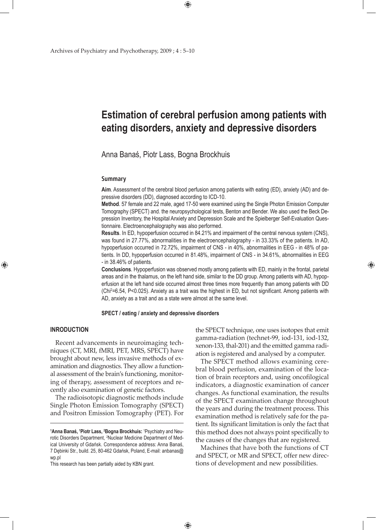# **Estimation of cerebral perfusion among patients with eating disorders, anxiety and depressive disorders**

Anna Banaś, Piotr Lass, Bogna Brockhuis

#### **Summary**

**Aim**. Assessment of the cerebral blood perfusion among patients with eating (ED), anxiety (AD) and depressive disorders (DD), diagnosed according to ICD-10.

**Method**. 57 female and 22 male, aged 17-50 were examined using the Single Photon Emission Computer Tomography (SPECT) and. the neuropsychological tests, Benton and Bender. We also used the Beck Depression Inventory, the Hospital Anxiety and Depression Scale and the Spielberger Self-Evaluation Questionnaire. Electroencephalography was also performed.

**Results**. In ED, hypoperfusion occurred in 84.21% and impairment of the central nervous system (CNS), was found in 27.77%, abnormalities in the electroencephalography - in 33.33% of the patients. In AD, hypoperfusion occurred in 72.72%, impairment of CNS - in 40%, abnormalities in EEG - in 48% of patients. In DD, hypoperfusion occurred in 81.48%, impairment of CNS - in 34.61%, abnormalities in EEG - in 38.46% of patients.

**Conclusions**. Hypoperfusion was observed mostly among patients with ED, mainly in the frontal, parietal areas and in the thalamus, on the left hand side, similar to the DD group. Among patients with AD, hypoperfusion at the left hand side occurred almost three times more frequently than among patients with DD (Chi<sup>2</sup> =6.54, P<0.025). Anxiety as a trait was the highest in ED, but not significant. Among patients with AD, anxiety as a trait and as a state were almost at the same level.

## **SPECT / eating / anxiety and depressive disorders**

 $\bigoplus$ 

# **INRODUCTION**

⊕

Recent advancements in neuroimaging techniques (CT, MRI, fMRI, PET, MRS, SPECT) have brought about new, less invasive methods of examination and diagnostics. They allow a functional assessment of the brain's functioning, monitoring of therapy, assessment of receptors and recently also examination of genetic factors.

The radioisotopic diagnostic methods include Single Photon Emission Tomography (SPECT) and Positron Emission Tomography (PET). For

the SPECT technique, one uses isotopes that emit gamma-radiation (technet-99, iod-131, iod-132, xenon-133, thal-201) and the emitted gamma radiation is registered and analysed by a computer.

⊕

The SPECT method allows examining cerebral blood perfusion, examination of the location of brain receptors and, using oncofilogical indicators, a diagnostic examination of cancer changes. As functional examination, the results of the SPECT examination change throughout the years and during the treatment process. This examination method is relatively safe for the patient. Its significant limitation is only the fact that this method does not always point specifically to the causes of the changes that are registered.

Machines that have both the functions of CT and SPECT, or MR and SPECT, offer new directions of development and new possibilities.

**<sup>1</sup> Anna Banaś, <sup>1</sup> Piotr Lass, 2 Bogna Brockhuis:** <sup>1</sup> Psychiatry and Neurotic Disorders Department, <sup>2</sup>Nuclear Medicine Department of Medical University of Gdańsk. Correspondence address: Anna Banaś, 7 Dębinki Str., build. 25, 80-462 Gdańsk, Poland, E-mail: anbanas@ wp.pl

This research has been partially aided by KBN grant.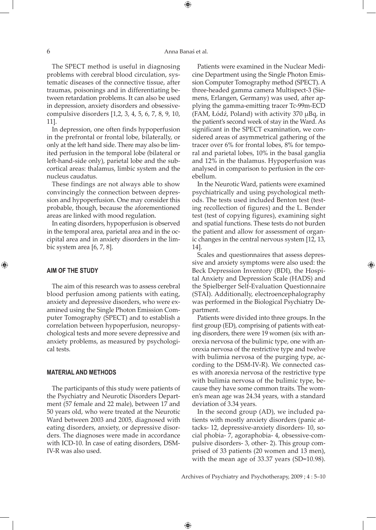#### 6 Anna Banaś et al.

⊕

The SPECT method is useful in diagnosing problems with cerebral blood circulation, systematic diseases of the connective tissue, after traumas, poisonings and in differentiating between retardation problems. It can also be used in depression, anxiety disorders and obsessivecompulsive disorders [1,2, 3, 4, 5, 6, 7, 8, 9, 10, 11].

In depression, one often finds hypoperfusion in the prefrontal or frontal lobe, bilaterally, or only at the left hand side. There may also be limited perfusion in the temporal lobe (bilateral or left-hand-side only), parietal lobe and the subcortical areas: thalamus, limbic system and the nucleus caudatus.

These findings are not always able to show convincingly the connection between depression and hypoperfusion. One may consider this probable, though, because the aforementioned areas are linked with mood regulation.

In eating disorders, hypoperfusion is observed in the temporal area, parietal area and in the occipital area and in anxiety disorders in the limbic system area [6, 7, 8].

## **AIM OF THE STUDY**

⊕

The aim of this research was to assess cerebral blood perfusion among patients with eating, anxiety and depressive disorders, who were examined using the Single Photon Emission Computer Tomography (SPECT) and to establish a correlation between hypoperfusion, neuropsychological tests and more severe depressive and anxiety problems, as measured by psychological tests.

#### **MATERIAL AND METHODS**

The participants of this study were patients of the Psychiatry and Neurotic Disorders Department (57 female and 22 male), between 17 and 50 years old, who were treated at the Neurotic Ward between 2003 and 2005, diagnosed with eating disorders, anxiety, or depressive disorders. The diagnoses were made in accordance with ICD-10. In case of eating disorders, DSM-IV-R was also used.

Patients were examined in the Nuclear Medicine Department using the Single Photon Emission Computer Tomography method (SPECT). A three-headed gamma camera Multispect-3 (Siemens, Erlangen, Germany) was used, after applying the gamma-emitting tracer Tc-99m-ECD (FAM, Łódź, Poland) with activity 370 µBq, in the patient's second week of stay in the Ward. As significant in the SPECT examination, we considered areas of asymmetrical gathering of the tracer over 6% for frontal lobes, 8% for temporal and parietal lobes, 10% in the basal ganglia and 12% in the thalamus. Hypoperfusion was analysed in comparison to perfusion in the cerebellum.

In the Neurotic Ward, patients were examined psychiatrically and using psychological methods. The tests used included Benton test (testing recollection of figures) and the L. Bender test (test of copying figures), examining sight and spatial functions. These tests do not burden the patient and allow for assessment of organic changes in the central nervous system [12, 13, 14].

Scales and questionnaires that assess depressive and anxiety symptoms were also used: the Beck Depression Inventory (BDI), the Hospital Anxiety and Depression Scale (HADS) and the Spielberger Self-Evaluation Questionnaire (STAI). Additionally, electroencephalography was performed in the Biological Psychiatry Department.

⊕

Patients were divided into three groups. In the first group (ED), comprising of patients with eating disorders, there were 19 women (six with anorexia nervosa of the bulimic type, one with anorexia nervosa of the restrictive type and twelve with bulimia nervosa of the purging type, according to the DSM-IV-R). We connected cases with anorexia nervosa of the restrictive type with bulimia nervosa of the bulimic type, because they have some common traits. The women's mean age was 24.34 years, with a standard deviation of 3.34 years.

In the second group (AD), we included patients with mostly anxiety disorders (panic attacks- 12, depressive-anxiety disorders- 10, social phobia- 7, agoraphobia- 4, obsessive-compulsive disorders- 3, other- 2). This group comprised of 33 patients (20 women and 13 men), with the mean age of 33.37 years (SD=10.98).

Archives of Psychiatry and Psychotherapy, 2009 ; 4 : 5–10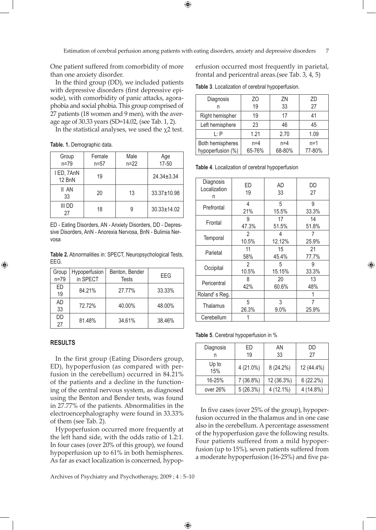Estimation of cerebral perfusion among patients with eating disorders, anxiety and depressive disorders 7

One patient suffered from comorbidity of more than one anxiety disorder.

In the third group (DD), we included patients with depressive disorders (first depressive episode), with comorbidity of panic attacks, agoraphobia and social phobia. This group comprised of 27 patients (18 women and 9 men), with the average age of 30.33 years (SD=14.02, (see Tab. 1, 2).

In the statistical analyses, we used the  $\chi$ 2 test.

**Table. 1.** Demographic data.

| Group<br>$n=79$      | Female<br>$n = 57$ | Male<br>$n = 22$ | Age<br>$17 - 50$  |
|----------------------|--------------------|------------------|-------------------|
| I ED, 7AnN<br>12 BnN | 19                 |                  | $24.34 + 3.34$    |
| II AN<br>33          | 20                 | 13               | 33.37±10.98       |
| iii dd<br>27         | 18                 | 9                | $30.33 \pm 14.02$ |

ED - Eating Disorders, AN - Anxiety Disorders, DD - Depressive Disorders, AnN - Anorexia Nervosa, BnN - Bulimia Nervosa

**Table 2.** Abnormalities in: SPECT, Neuropsychological Tests, EEG.

| Group<br>$n=79$ | Hypoperfusion<br>in SPECT | Benton, Bender<br><b>Tests</b> | EEG    |
|-----------------|---------------------------|--------------------------------|--------|
| ED<br>19        | 84.21%                    | 27.77%                         | 33.33% |
| <b>AD</b><br>33 | 72.72%                    | 40.00%                         | 48.00% |
| DD<br>27        | 81.48%                    | 34.61%                         | 38.46% |

# **RESULTS**

⊕

In the first group (Eating Disorders group, ED), hypoperfusion (as compared with perfusion in the cerebellum) occurred in 84.21% of the patients and a decline in the functioning of the central nervous system, as diagnosed using the Benton and Bender tests, was found in 27.77% of the patients. Abnormalities in the electroencephalography were found in 33.33% of them (see Tab. 2).

Hypoperfusion occurred more frequently at the left hand side, with the odds ratio of 1.2:1. In four cases (over 20% of this group), we found hypoperfusion up to 61% in both hemispheres. As far as exact localization is concerned, hypop-

Archives of Psychiatry and Psychotherapy, 2009 ; 4 : 5–10

 $\bigoplus$ 

erfusion occurred most frequently in parietal, frontal and pericentral areas.(see Tab. 3, 4, 5)

**Table 3**. Localization of cerebral hypoperfusion.

| Diagnosis                             | ZO<br>19        | 7N<br>33        | ZD<br>27        |
|---------------------------------------|-----------------|-----------------|-----------------|
| Right hemispher                       | 19              | 17              | 41              |
| Left hemisphere                       | 23              | 46              | 45              |
| $\mathsf{I} \cdot \mathsf{P}$         | 1.21            | 2.70            | 1.09            |
| Both hemispheres<br>hypoperfusion (%) | $n=4$<br>65-76% | $n=4$<br>68-80% | $n=1$<br>77-80% |

**Table 4**. Localization of cerebral hypoperfusion

| Diagnosis<br>ED<br>Localization<br>19<br>n |                           | AD<br>33    | DD<br>27    |
|--------------------------------------------|---------------------------|-------------|-------------|
| Prefrontal                                 | 4<br>21%                  | 5<br>15.5%  | 9<br>33.3%  |
| Frontal                                    | 17<br>9<br>47.3%<br>51.5% |             | 14<br>51.8% |
| Temporal                                   | 2<br>10.5%                | 4<br>12.12% | 25.9%       |
| Parietal                                   | 11<br>58%                 | 15<br>45.4% | 21<br>77.7% |
| Occipital                                  | 2<br>10.5%                | 5<br>15.15% | 9<br>33.3%  |
| Pericentral                                | 8<br>42%                  | 20<br>60.6% | 13<br>48%   |
| Roland's Reg.                              |                           |             | 1           |
| 5<br>Thalamus<br>26.3%                     |                           | 3<br>9.0%   | 7<br>25.9%  |
| Cerebellum                                 |                           |             |             |

**Table 5**. Cerebral hypoperfusion in %

| Diagnosis    | ED<br>19  | ΑN<br>33    | DD<br>27    |
|--------------|-----------|-------------|-------------|
| Up to<br>15% | 4 (21.0%) | $8(24.2\%)$ | 12 (44.4%)  |
| 16-25%       | 7(36.8%)  | 12 (36.3%)  | 6(22.2%)    |
| over 26%     | 5(26.3%)  | $4(12.1\%)$ | $4(14.8\%)$ |

In five cases (over 25% of the group), hypoperfusion occurred in the thalamus and in one case also in the cerebellum. A percentage assessment of the hypoperfusion gave the following results. Four patients suffered from a mild hypoperfusion (up to 15%), seven patients suffered from a moderate hypoperfusion (16-25%) and five pa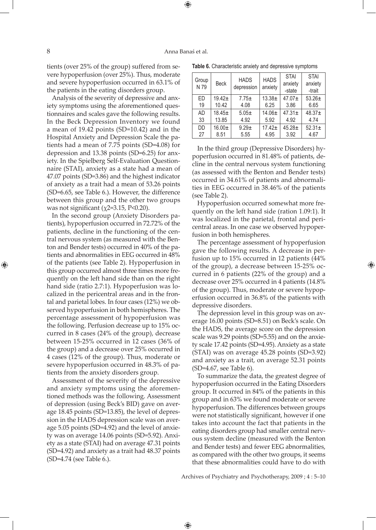⊕

tients (over 25% of the group) suffered from severe hypoperfusion (over 25%). Thus, moderate and severe hypoperfusion occurred in 63.1% of the patients in the eating disorders group.

Analysis of the severity of depressive and anxiety symptoms using the aforementioned questionnaires and scales gave the following results. In the Beck Depression Inventory we found a mean of 19.42 points (SD=10.42) and in the Hospital Anxiety and Depression Scale the patients had a mean of 7.75 points (SD=4.08) for depression and 13.38 points (SD=6.25) for anxiety. In the Spielberg Self-Evaluation Questionnaire (STAI), anxiety as a state had a mean of 47.07 points (SD=3.86) and the highest indicator of anxiety as a trait had a mean of 53.26 points (SD=6.65, see Table 6.). However, the difference between this group and the other two groups was not significant ( $\chi$ 2=3.15, P<0.20).

In the second group (Anxiety Disorders patients), hypoperfusion occurred in 72.72% of the patients, decline in the functioning of the central nervous system (as measured with the Benton and Bender tests) occurred in 40% of the patients and abnormalities in EEG occurred in 48% of the patients (see Table 2). Hypoperfusion in this group occurred almost three times more frequently on the left hand side than on the right hand side (ratio 2.7:1). Hypoperfusion was localized in the pericentral areas and in the frontal and parietal lobes. In four cases (12%) we observed hypoperfusion in both hemispheres. The percentage assessment of hypoperfusion was the following. Perfusion decrease up to 15% occurred in 8 cases (24% of the group), decrease between 15-25% occurred in 12 cases (36% of the group) and a decrease over 25% occurred in 4 cases (12% of the group). Thus, moderate or severe hypoperfusion occurred in 48.3% of patients from the anxiety disorders group.

Assessment of the severity of the depressive and anxiety symptoms using the aforementioned methods was the following. Assessment of depression (using Beck's BID) gave on average 18.45 points (SD=13.85), the level of depression in the HADS depression scale was on average 5.05 points (SD=4.92) and the level of anxiety was on average 14.06 points (SD=5.92). Anxiety as a state (STAI) had on average 47.31 points (SD=4.92) and anxiety as a trait had 48.37 points (SD=4.74 (see Table 6.).

**Table 6.** Characteristic anxiety and depressive symptoms

| Group<br>N 79 | <b>Beck</b> | <b>HADS</b><br>depression | <b>HADS</b><br>anxiety | <b>STAI</b><br>anxiety<br>-state | <b>STAI</b><br>anxiety<br>-trait |
|---------------|-------------|---------------------------|------------------------|----------------------------------|----------------------------------|
| FD            | $19.42+$    | $7.75+$                   | $13.38+$               | $47.07+$                         | $53.26+$                         |
| 19            | 10.42       | 4.08                      | 6.25                   | 3.86                             | 6.65                             |
| <b>AD</b>     | $18.45+$    | $5.05+$                   | $14.06 \pm$            | $47.31+$                         | $48.37+$                         |
| 33            | 13.85       | 4.92                      | 5.92                   | 4.92                             | 4.74                             |
| DD            | $16.00+$    | $9.29 +$                  | $17.42+$               | $45.28 \pm$                      | $52.31 \pm$                      |
| 27            | 8.51        | 5.55                      | 4.95                   | 3.92                             | 4.67                             |

In the third group (Depressive Disorders) hypoperfusion occurred in 81.48% of patients, decline in the central nervous system functioning (as assessed with the Benton and Bender tests) occurred in 34.61% of patients and abnormalities in EEG occurred in 38.46% of the patients (see Table 2).

Hypoperfusion occurred somewhat more frequently on the left hand side (ration 1.09:1). It was localized in the parietal, frontal and pericentral areas. In one case we observed hypoperfusion in both hemispheres.

The percentage assessment of hypoperfusion gave the following results. A decrease in perfusion up to 15% occurred in 12 patients (44% of the group), a decrease between 15-25% occurred in 6 patients (22% of the group) and a decrease over 25% occurred in 4 patients (14.8% of the group). Thus, moderate or severe hypoperfusion occurred in 36.8% of the patients with depressive disorders.

⊕

The depression level in this group was on average 16.00 points (SD=8.51) on Beck's scale. On the HADS, the average score on the depression scale was 9.29 points (SD=5.55) and on the anxiety scale 17.42 points (SD=4.95). Anxiety as a state (STAI) was on average 45.28 points (SD=3.92) and anxiety as a trait, on average 52.31 points (SD=4.67, see Table 6).

To summarize the data, the greatest degree of hypoperfusion occurred in the Eating Disorders group. It occurred in 84% of the patients in this group and in 63% we found moderate or severe hypoperfusion. The differences between groups were not statistically significant, however if one takes into account the fact that patients in the eating disorders group had smaller central nervous system decline (measured with the Benton and Bender tests) and fewer EEG abnormalities, as compared with the other two groups, it seems that these abnormalities could have to do with

Archives of Psychiatry and Psychotherapy, 2009 ; 4 : 5–10

 $\bigoplus$ 

⊕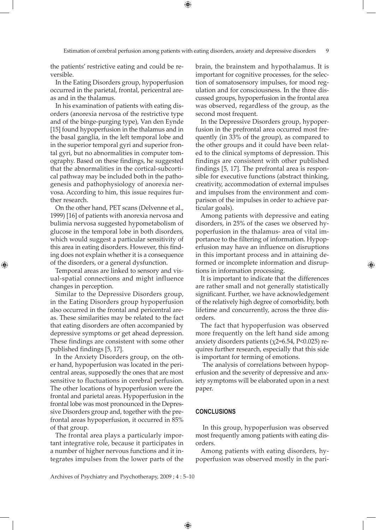the patients' restrictive eating and could be reversible.

In the Eating Disorders group, hypoperfusion occurred in the parietal, frontal, pericentral areas and in the thalamus.

In his examination of patients with eating disorders (anorexia nervosa of the restrictive type and of the binge-purging type), Van den Eynde [15] found hypoperfusion in the thalamus and in the basal ganglia, in the left temporal lobe and in the superior temporal gyri and superior frontal gyri, but no abnormalities in computer tomography. Based on these findings, he suggested that the abnormalities in the cortical-subcortical pathway may be included both in the pathogenesis and pathophysiology of anorexia nervosa. According to him, this issue requires further research.

On the other hand, PET scans (Delvenne et al., 1999) [16] of patients with anorexia nervosa and bulimia nervosa suggested hypometabolism of glucose in the temporal lobe in both disorders, which would suggest a particular sensitivity of this area in eating disorders. However, this finding does not explain whether it is a consequence of the disorders, or a general dysfunction.

Temporal areas are linked to sensory and visual-spatial connections and might influence changes in perception.

⊕

Similar to the Depressive Disorders group, in the Eating Disorders group hypoperfusion also occurred in the frontal and pericentral areas. These similarities may be related to the fact that eating disorders are often accompanied by depressive symptoms or get ahead depression. These findings are consistent with some other published findings [5, 17].

In the Anxiety Disorders group, on the other hand, hypoperfusion was located in the pericentral areas, supposedly the ones that are most sensitive to fluctuations in cerebral perfusion. The other locations of hypoperfusion were the frontal and parietal areas. Hypoperfusion in the frontal lobe was most pronounced in the Depressive Disorders group and, together with the prefrontal areas hypoperfusion, it occurred in 85% of that group.

The frontal area plays a particularly important integrative role, because it participates in a number of higher nervous functions and it integrates impulses from the lower parts of the brain, the brainstem and hypothalamus. It is important for cognitive processes, for the selection of somatosensory impulses, for mood regulation and for consciousness. In the three discussed groups, hypoperfusion in the frontal area was observed, regardless of the group, as the second most frequent.

In the Depressive Disorders group, hypoperfusion in the prefrontal area occurred most frequently (in 33% of the group), as compared to the other groups and it could have been related to the clinical symptoms of depression. This findings are consistent with other published findings [5, 17]. The prefrontal area is responsible for executive functions (abstract thinking, creativity, accommodation of external impulses and impulses from the environment and comparison of the impulses in order to achieve particular goals).

Among patients with depressive and eating disorders, in 25% of the cases we observed hypoperfusion in the thalamus- area of vital importance to the filtering of information. Hypoperfusion may have an influence on disruptions in this important process and in attaining deformed or incomplete information and disruptions in information processing.

It is important to indicate that the differences are rather small and not generally statistically significant. Further, we have acknowledgement of the relatively high degree of comorbidity, both lifetime and concurrently, across the three disorders.

The fact that hypoperfusion was observed more frequently on the left hand side among anxiety disorders patients ( $\chi$ 2=6.54, P<0.025) requires further research, especially that this side is important for terming of emotions.

 The analysis of correlations between hypoperfusion and the severity of depressive and anxiety symptoms will be elaborated upon in a next paper.

# **CONCLUSIONS**

 In this group, hypoperfusion was observed most frequently among patients with eating disorders.

Among patients with eating disorders, hypoperfusion was observed mostly in the pari-

Archives of Psychiatry and Psychotherapy, 2009 ; 4 : 5–10